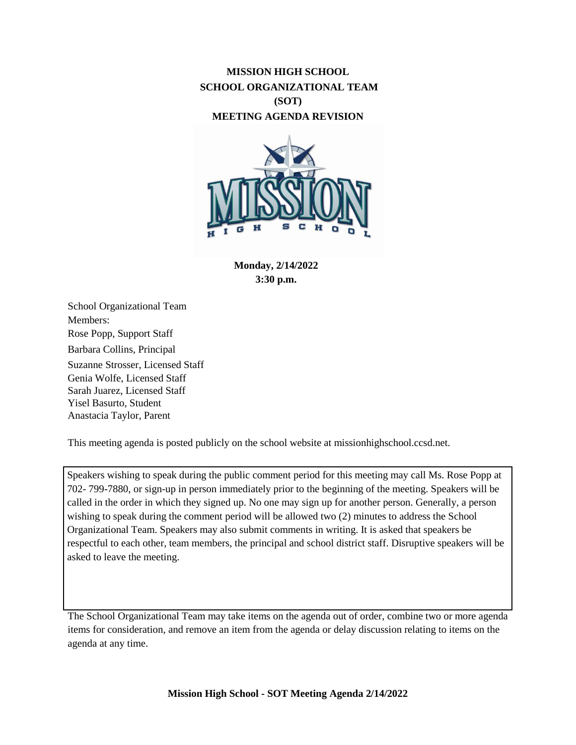# **MISSION HIGH SCHOOL SCHOOL ORGANIZATIONAL TEAM (SOT) MEETING AGENDA REVISION**



**Monday, 2/14/2022 3:30 p.m.**

School Organizational Team Members: Rose Popp, Support Staff Barbara Collins, Principal Suzanne Strosser, Licensed Staff Genia Wolfe, Licensed Staff Sarah Juarez, Licensed Staff Yisel Basurto, Student Anastacia Taylor, Parent

This meeting agenda is posted publicly on the school website at missionhighschool.ccsd.net.

Speakers wishing to speak during the public comment period for this meeting may call Ms. Rose Popp at 702- 799-7880, or sign-up in person immediately prior to the beginning of the meeting. Speakers will be called in the order in which they signed up. No one may sign up for another person. Generally, a person wishing to speak during the comment period will be allowed two (2) minutes to address the School Organizational Team. Speakers may also submit comments in writing. It is asked that speakers be respectful to each other, team members, the principal and school district staff. Disruptive speakers will be asked to leave the meeting.

The School Organizational Team may take items on the agenda out of order, combine two or more agenda items for consideration, and remove an item from the agenda or delay discussion relating to items on the agenda at any time.

**Mission High School - SOT Meeting Agenda 2/14/2022**